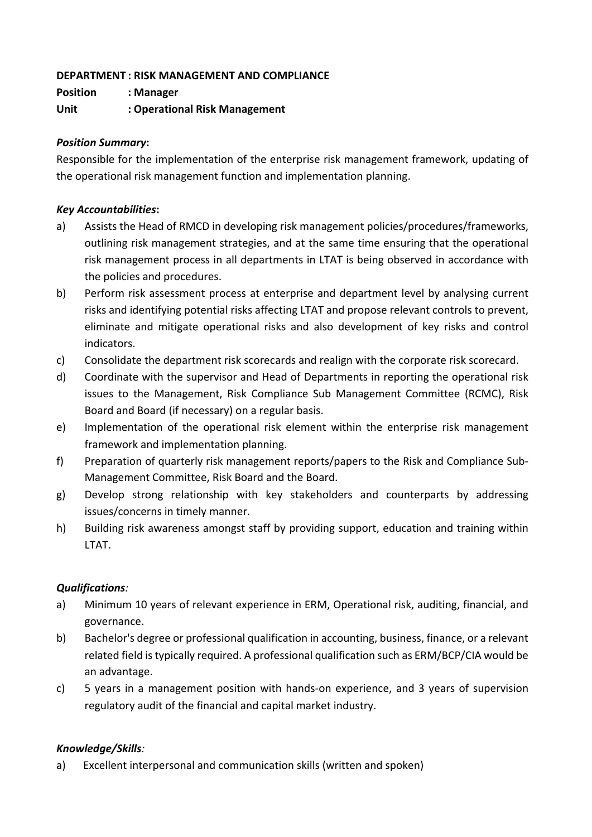### **DEPARTMENT : RISK MANAGEMENT AND COMPLIANCE**

**Position : Manager**

# **Unit : Operational Risk Management**

### *Position Summary***:**

Responsible for the implementation of the enterprise risk management framework, updating of the operational risk management function and implementation planning.

### *Key Accountabilities***:**

- a) Assists the Head of RMCD in developing risk management policies/procedures/frameworks, outlining risk management strategies, and at the same time ensuring that the operational risk management process in all departments in LTAT is being observed in accordance with the policies and procedures.
- b) Perform risk assessment process at enterprise and department level by analysing current risks and identifying potential risks affecting LTAT and propose relevant controls to prevent, eliminate and mitigate operational risks and also development of key risks and control indicators.
- c) Consolidate the department risk scorecards and realign with the corporate risk scorecard.
- d) Coordinate with the supervisor and Head of Departments in reporting the operational risk issues to the Management, Risk Compliance Sub Management Committee (RCMC), Risk Board and Board (if necessary) on a regular basis.
- e) Implementation of the operational risk element within the enterprise risk management framework and implementation planning.
- f) Preparation of quarterly risk management reports/papers to the Risk and Compliance Sub-Management Committee, Risk Board and the Board.
- g) Develop strong relationship with key stakeholders and counterparts by addressing issues/concerns in timely manner.
- h) Building risk awareness amongst staff by providing support, education and training within LTAT.

### *Qualifications:*

- a) Minimum 10 years of relevant experience in ERM, Operational risk, auditing, financial, and governance.
- b) Bachelor's degree or professional qualification in accounting, business, finance, or a relevant related field is typically required. A professional qualification such as ERM/BCP/CIA would be an advantage.
- c) 5 years in a management position with hands-on experience, and 3 years of supervision regulatory audit of the financial and capital market industry.

### *Knowledge/Skills:*

a) Excellent interpersonal and communication skills (written and spoken)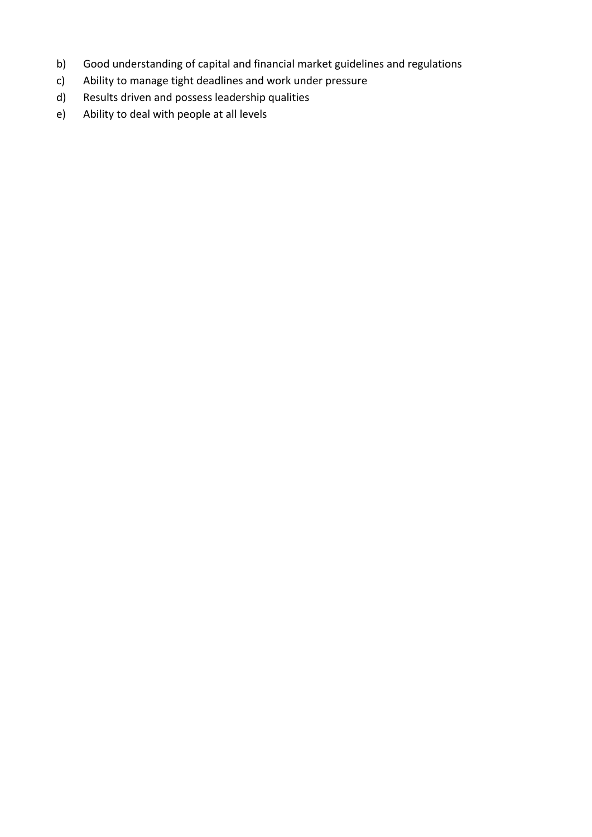- b) Good understanding of capital and financial market guidelines and regulations
- c) Ability to manage tight deadlines and work under pressure
- d) Results driven and possess leadership qualities
- e) Ability to deal with people at all levels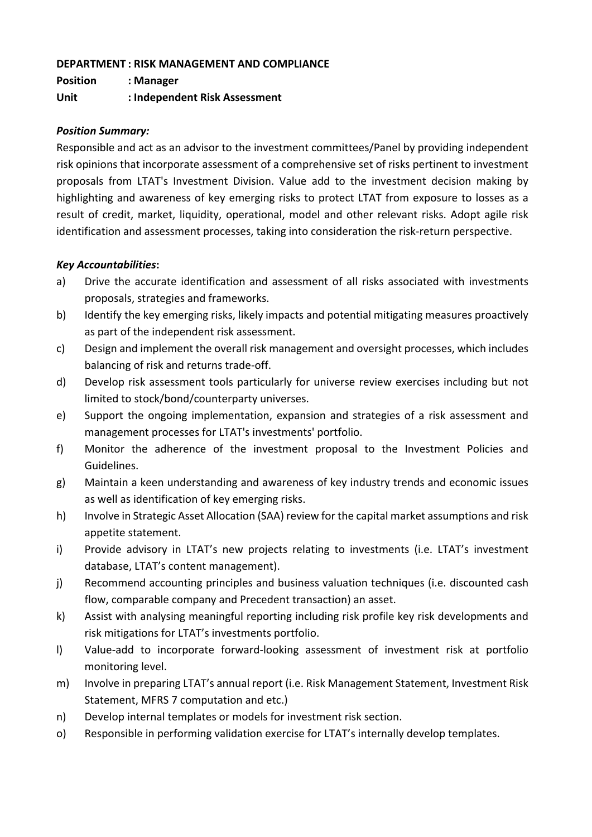#### **DEPARTMENT : RISK MANAGEMENT AND COMPLIANCE**

**Position : Manager**

### **Unit : Independent Risk Assessment**

### *Position Summary:*

Responsible and act as an advisor to the investment committees/Panel by providing independent risk opinions that incorporate assessment of a comprehensive set of risks pertinent to investment proposals from LTAT's Investment Division. Value add to the investment decision making by highlighting and awareness of key emerging risks to protect LTAT from exposure to losses as a result of credit, market, liquidity, operational, model and other relevant risks. Adopt agile risk identification and assessment processes, taking into consideration the risk-return perspective.

### *Key Accountabilities***:**

- a) Drive the accurate identification and assessment of all risks associated with investments proposals, strategies and frameworks.
- b) Identify the key emerging risks, likely impacts and potential mitigating measures proactively as part of the independent risk assessment.
- c) Design and implement the overall risk management and oversight processes, which includes balancing of risk and returns trade-off.
- d) Develop risk assessment tools particularly for universe review exercises including but not limited to stock/bond/counterparty universes.
- e) Support the ongoing implementation, expansion and strategies of a risk assessment and management processes for LTAT's investments' portfolio.
- f) Monitor the adherence of the investment proposal to the Investment Policies and Guidelines.
- g) Maintain a keen understanding and awareness of key industry trends and economic issues as well as identification of key emerging risks.
- h) Involve in Strategic Asset Allocation (SAA) review for the capital market assumptions and risk appetite statement.
- i) Provide advisory in LTAT's new projects relating to investments (i.e. LTAT's investment database, LTAT's content management).
- j) Recommend accounting principles and business valuation techniques (i.e. discounted cash flow, comparable company and Precedent transaction) an asset.
- k) Assist with analysing meaningful reporting including risk profile key risk developments and risk mitigations for LTAT's investments portfolio.
- l) Value-add to incorporate forward-looking assessment of investment risk at portfolio monitoring level.
- m) Involve in preparing LTAT's annual report (i.e. Risk Management Statement, Investment Risk Statement, MFRS 7 computation and etc.)
- n) Develop internal templates or models for investment risk section.
- o) Responsible in performing validation exercise for LTAT's internally develop templates.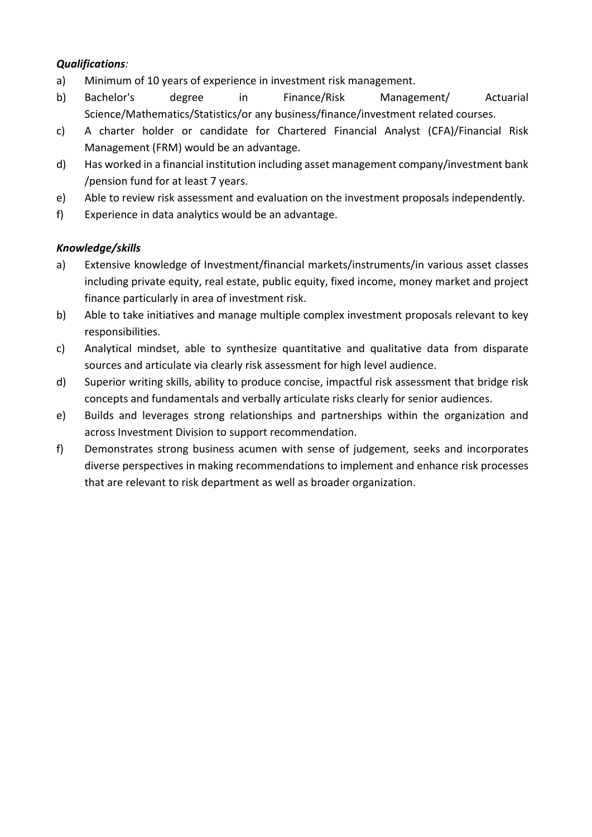- a) Minimum of 10 years of experience in investment risk management.
- b) Bachelor's degree in Finance/Risk Management/ Actuarial Science/Mathematics/Statistics/or any business/finance/investment related courses.
- c) A charter holder or candidate for Chartered Financial Analyst (CFA)/Financial Risk Management (FRM) would be an advantage.
- d) Has worked in a financial institution including asset management company/investment bank /pension fund for at least 7 years.
- e) Able to review risk assessment and evaluation on the investment proposals independently.
- f) Experience in data analytics would be an advantage.

- a) Extensive knowledge of Investment/financial markets/instruments/in various asset classes including private equity, real estate, public equity, fixed income, money market and project finance particularly in area of investment risk.
- b) Able to take initiatives and manage multiple complex investment proposals relevant to key responsibilities.
- c) Analytical mindset, able to synthesize quantitative and qualitative data from disparate sources and articulate via clearly risk assessment for high level audience.
- d) Superior writing skills, ability to produce concise, impactful risk assessment that bridge risk concepts and fundamentals and verbally articulate risks clearly for senior audiences.
- e) Builds and leverages strong relationships and partnerships within the organization and across Investment Division to support recommendation.
- f) Demonstrates strong business acumen with sense of judgement, seeks and incorporates diverse perspectives in making recommendations to implement and enhance risk processes that are relevant to risk department as well as broader organization.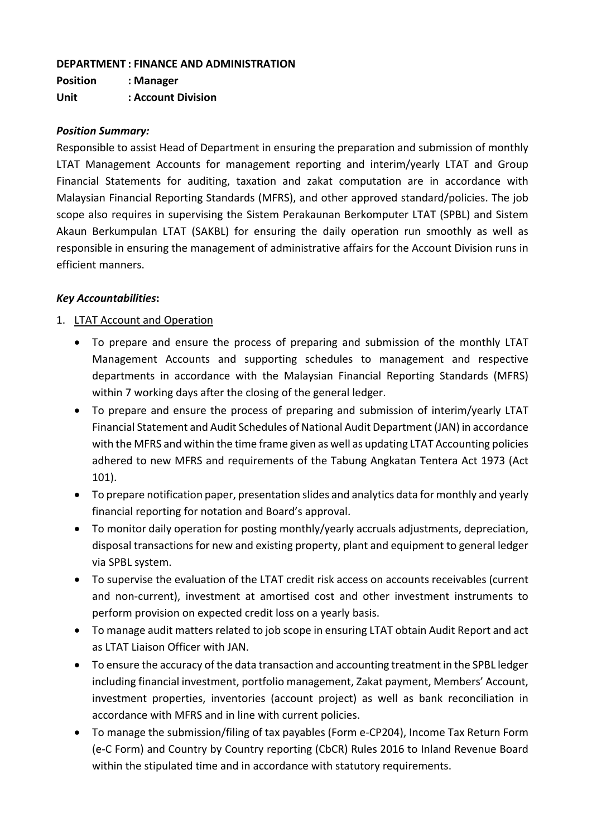#### **DEPARTMENT : FINANCE AND ADMINISTRATION**

**Position : Manager Unit : Account Division**

### *Position Summary:*

Responsible to assist Head of Department in ensuring the preparation and submission of monthly LTAT Management Accounts for management reporting and interim/yearly LTAT and Group Financial Statements for auditing, taxation and zakat computation are in accordance with Malaysian Financial Reporting Standards (MFRS), and other approved standard/policies. The job scope also requires in supervising the Sistem Perakaunan Berkomputer LTAT (SPBL) and Sistem Akaun Berkumpulan LTAT (SAKBL) for ensuring the daily operation run smoothly as well as responsible in ensuring the management of administrative affairs for the Account Division runs in efficient manners.

### *Key Accountabilities***:**

### 1. LTAT Account and Operation

- To prepare and ensure the process of preparing and submission of the monthly LTAT Management Accounts and supporting schedules to management and respective departments in accordance with the Malaysian Financial Reporting Standards (MFRS) within 7 working days after the closing of the general ledger.
- To prepare and ensure the process of preparing and submission of interim/yearly LTAT Financial Statement and Audit Schedules of National Audit Department (JAN) in accordance with the MFRS and within the time frame given as well as updating LTAT Accounting policies adhered to new MFRS and requirements of the Tabung Angkatan Tentera Act 1973 (Act 101).
- To prepare notification paper, presentation slides and analytics data for monthly and yearly financial reporting for notation and Board's approval.
- To monitor daily operation for posting monthly/yearly accruals adjustments, depreciation, disposal transactions for new and existing property, plant and equipment to general ledger via SPBL system.
- To supervise the evaluation of the LTAT credit risk access on accounts receivables (current and non-current), investment at amortised cost and other investment instruments to perform provision on expected credit loss on a yearly basis.
- To manage audit matters related to job scope in ensuring LTAT obtain Audit Report and act as LTAT Liaison Officer with JAN.
- To ensure the accuracy of the data transaction and accounting treatment in the SPBL ledger including financial investment, portfolio management, Zakat payment, Members' Account, investment properties, inventories (account project) as well as bank reconciliation in accordance with MFRS and in line with current policies.
- To manage the submission/filing of tax payables (Form e-CP204), Income Tax Return Form (e-C Form) and Country by Country reporting (CbCR) Rules 2016 to Inland Revenue Board within the stipulated time and in accordance with statutory requirements.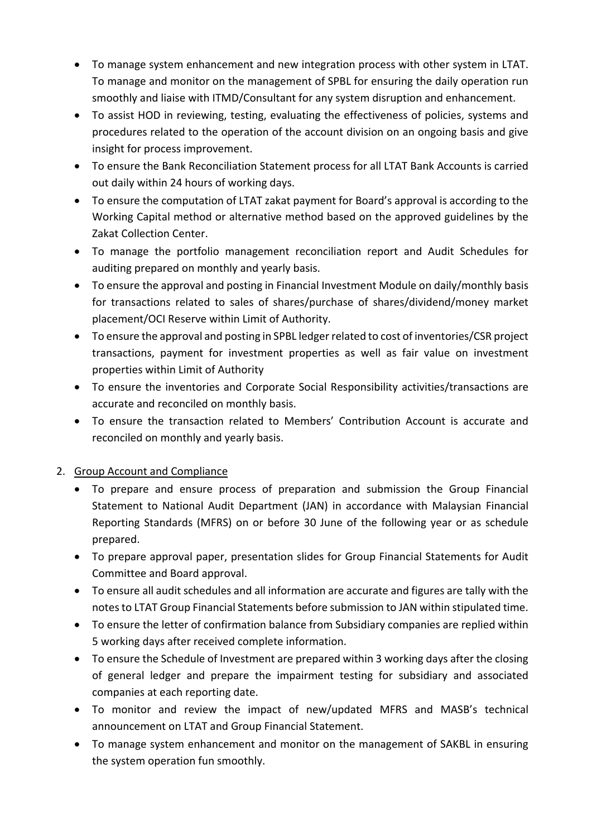- To manage system enhancement and new integration process with other system in LTAT. To manage and monitor on the management of SPBL for ensuring the daily operation run smoothly and liaise with ITMD/Consultant for any system disruption and enhancement.
- To assist HOD in reviewing, testing, evaluating the effectiveness of policies, systems and procedures related to the operation of the account division on an ongoing basis and give insight for process improvement.
- To ensure the Bank Reconciliation Statement process for all LTAT Bank Accounts is carried out daily within 24 hours of working days.
- To ensure the computation of LTAT zakat payment for Board's approval is according to the Working Capital method or alternative method based on the approved guidelines by the Zakat Collection Center.
- To manage the portfolio management reconciliation report and Audit Schedules for auditing prepared on monthly and yearly basis.
- To ensure the approval and posting in Financial Investment Module on daily/monthly basis for transactions related to sales of shares/purchase of shares/dividend/money market placement/OCI Reserve within Limit of Authority.
- To ensure the approval and posting in SPBL ledger related to cost of inventories/CSR project transactions, payment for investment properties as well as fair value on investment properties within Limit of Authority
- To ensure the inventories and Corporate Social Responsibility activities/transactions are accurate and reconciled on monthly basis.
- To ensure the transaction related to Members' Contribution Account is accurate and reconciled on monthly and yearly basis.

### 2. Group Account and Compliance

- To prepare and ensure process of preparation and submission the Group Financial Statement to National Audit Department (JAN) in accordance with Malaysian Financial Reporting Standards (MFRS) on or before 30 June of the following year or as schedule prepared.
- To prepare approval paper, presentation slides for Group Financial Statements for Audit Committee and Board approval.
- To ensure all audit schedules and all information are accurate and figures are tally with the notes to LTAT Group Financial Statements before submission to JAN within stipulated time.
- To ensure the letter of confirmation balance from Subsidiary companies are replied within 5 working days after received complete information.
- To ensure the Schedule of Investment are prepared within 3 working days after the closing of general ledger and prepare the impairment testing for subsidiary and associated companies at each reporting date.
- To monitor and review the impact of new/updated MFRS and MASB's technical announcement on LTAT and Group Financial Statement.
- To manage system enhancement and monitor on the management of SAKBL in ensuring the system operation fun smoothly.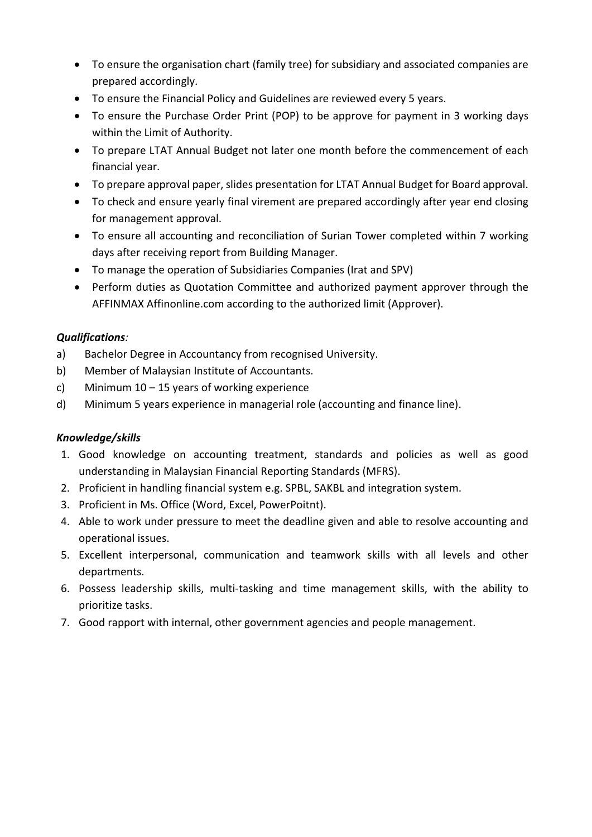- To ensure the organisation chart (family tree) for subsidiary and associated companies are prepared accordingly.
- To ensure the Financial Policy and Guidelines are reviewed every 5 years.
- To ensure the Purchase Order Print (POP) to be approve for payment in 3 working days within the Limit of Authority.
- To prepare LTAT Annual Budget not later one month before the commencement of each financial year.
- To prepare approval paper, slides presentation for LTAT Annual Budget for Board approval.
- To check and ensure yearly final virement are prepared accordingly after year end closing for management approval.
- To ensure all accounting and reconciliation of Surian Tower completed within 7 working days after receiving report from Building Manager.
- To manage the operation of Subsidiaries Companies (Irat and SPV)
- Perform duties as Quotation Committee and authorized payment approver through the AFFINMAX Affinonline.com according to the authorized limit (Approver).

- a) Bachelor Degree in Accountancy from recognised University.
- b) Member of Malaysian Institute of Accountants.
- c) Minimum 10 15 years of working experience
- d) Minimum 5 years experience in managerial role (accounting and finance line).

- 1. Good knowledge on accounting treatment, standards and policies as well as good understanding in Malaysian Financial Reporting Standards (MFRS).
- 2. Proficient in handling financial system e.g. SPBL, SAKBL and integration system.
- 3. Proficient in Ms. Office (Word, Excel, PowerPoitnt).
- 4. Able to work under pressure to meet the deadline given and able to resolve accounting and operational issues.
- 5. Excellent interpersonal, communication and teamwork skills with all levels and other departments.
- 6. Possess leadership skills, multi-tasking and time management skills, with the ability to prioritize tasks.
- 7. Good rapport with internal, other government agencies and people management.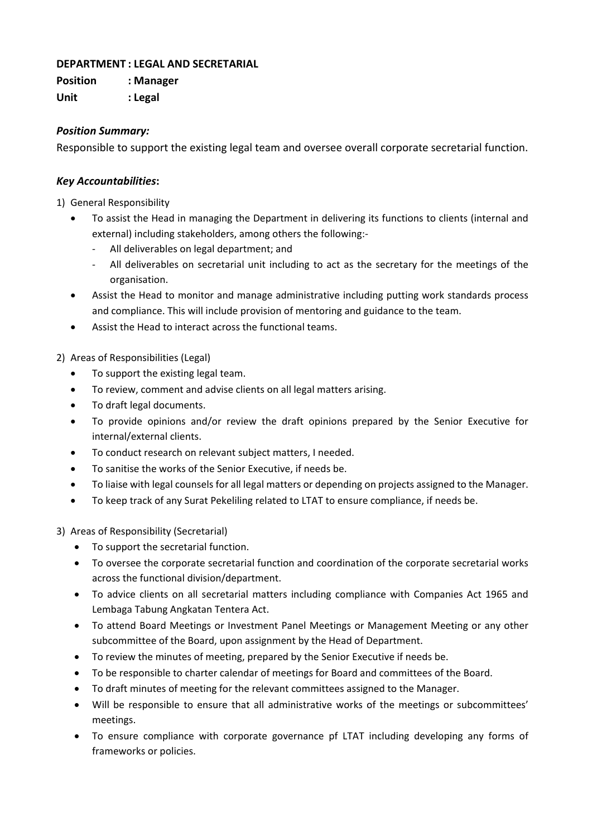#### **DEPARTMENT : LEGAL AND SECRETARIAL**

**Position : Manager**

**Unit : Legal**

# *Position Summary:*

Responsible to support the existing legal team and oversee overall corporate secretarial function.

# *Key Accountabilities***:**

1) General Responsibility

- To assist the Head in managing the Department in delivering its functions to clients (internal and external) including stakeholders, among others the following:-
	- All deliverables on legal department; and
	- All deliverables on secretarial unit including to act as the secretary for the meetings of the organisation.
- Assist the Head to monitor and manage administrative including putting work standards process and compliance. This will include provision of mentoring and guidance to the team.
- Assist the Head to interact across the functional teams.

2) Areas of Responsibilities (Legal)

- To support the existing legal team.
- To review, comment and advise clients on all legal matters arising.
- To draft legal documents.
- To provide opinions and/or review the draft opinions prepared by the Senior Executive for internal/external clients.
- To conduct research on relevant subject matters, I needed.
- To sanitise the works of the Senior Executive, if needs be.
- To liaise with legal counsels for all legal matters or depending on projects assigned to the Manager.
- To keep track of any Surat Pekeliling related to LTAT to ensure compliance, if needs be.

3) Areas of Responsibility (Secretarial)

- To support the secretarial function.
- To oversee the corporate secretarial function and coordination of the corporate secretarial works across the functional division/department.
- To advice clients on all secretarial matters including compliance with Companies Act 1965 and Lembaga Tabung Angkatan Tentera Act.
- To attend Board Meetings or Investment Panel Meetings or Management Meeting or any other subcommittee of the Board, upon assignment by the Head of Department.
- To review the minutes of meeting, prepared by the Senior Executive if needs be.
- To be responsible to charter calendar of meetings for Board and committees of the Board.
- To draft minutes of meeting for the relevant committees assigned to the Manager.
- Will be responsible to ensure that all administrative works of the meetings or subcommittees' meetings.
- To ensure compliance with corporate governance pf LTAT including developing any forms of frameworks or policies.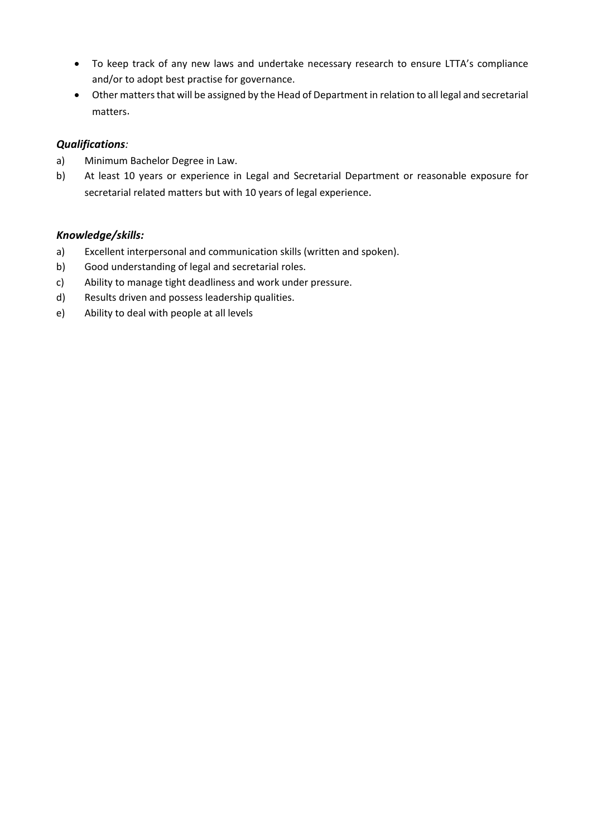- To keep track of any new laws and undertake necessary research to ensure LTTA's compliance and/or to adopt best practise for governance.
- Other matters that will be assigned by the Head of Department in relation to all legal and secretarial matters.

- a) Minimum Bachelor Degree in Law.
- b) At least 10 years or experience in Legal and Secretarial Department or reasonable exposure for secretarial related matters but with 10 years of legal experience.

- a) Excellent interpersonal and communication skills (written and spoken).
- b) Good understanding of legal and secretarial roles.
- c) Ability to manage tight deadliness and work under pressure.
- d) Results driven and possess leadership qualities.
- e) Ability to deal with people at all levels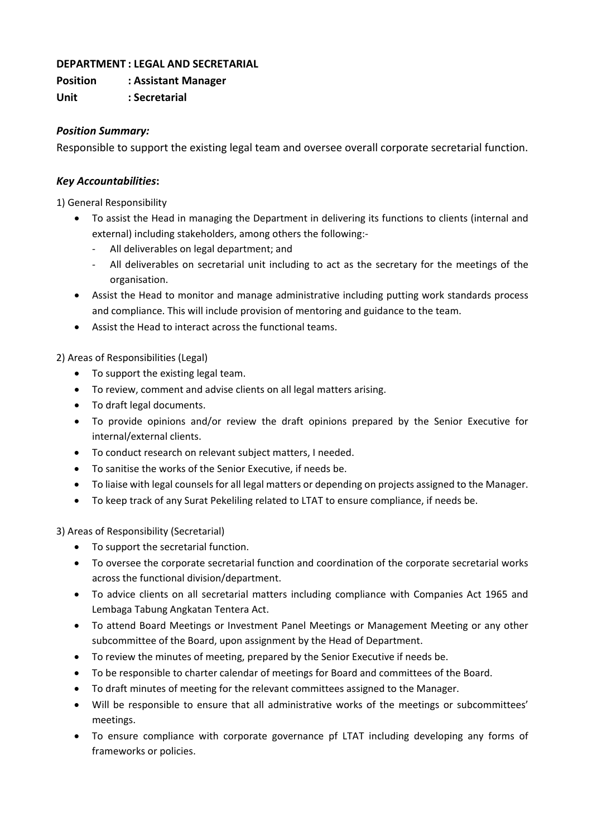#### **DEPARTMENT : LEGAL AND SECRETARIAL**

**Position : Assistant Manager Unit : Secretarial**

# *Position Summary:*

Responsible to support the existing legal team and oversee overall corporate secretarial function.

### *Key Accountabilities***:**

1) General Responsibility

- To assist the Head in managing the Department in delivering its functions to clients (internal and external) including stakeholders, among others the following:-
	- All deliverables on legal department; and
	- All deliverables on secretarial unit including to act as the secretary for the meetings of the organisation.
- Assist the Head to monitor and manage administrative including putting work standards process and compliance. This will include provision of mentoring and guidance to the team.
- Assist the Head to interact across the functional teams.

2) Areas of Responsibilities (Legal)

- To support the existing legal team.
- To review, comment and advise clients on all legal matters arising.
- To draft legal documents.
- To provide opinions and/or review the draft opinions prepared by the Senior Executive for internal/external clients.
- To conduct research on relevant subject matters, I needed.
- To sanitise the works of the Senior Executive, if needs be.
- To liaise with legal counsels for all legal matters or depending on projects assigned to the Manager.
- To keep track of any Surat Pekeliling related to LTAT to ensure compliance, if needs be.

3) Areas of Responsibility (Secretarial)

- To support the secretarial function.
- To oversee the corporate secretarial function and coordination of the corporate secretarial works across the functional division/department.
- To advice clients on all secretarial matters including compliance with Companies Act 1965 and Lembaga Tabung Angkatan Tentera Act.
- To attend Board Meetings or Investment Panel Meetings or Management Meeting or any other subcommittee of the Board, upon assignment by the Head of Department.
- To review the minutes of meeting, prepared by the Senior Executive if needs be.
- To be responsible to charter calendar of meetings for Board and committees of the Board.
- To draft minutes of meeting for the relevant committees assigned to the Manager.
- Will be responsible to ensure that all administrative works of the meetings or subcommittees' meetings.
- To ensure compliance with corporate governance pf LTAT including developing any forms of frameworks or policies.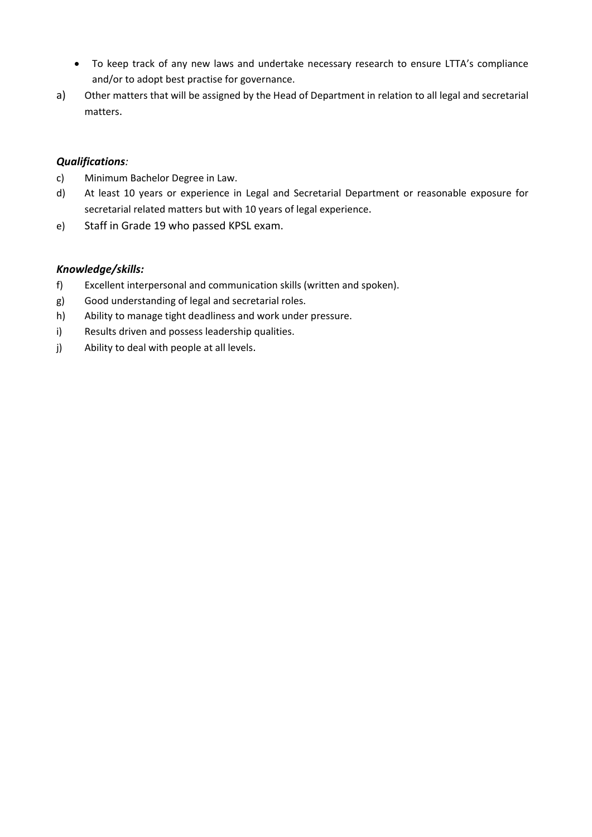- To keep track of any new laws and undertake necessary research to ensure LTTA's compliance and/or to adopt best practise for governance.
- a) Other matters that will be assigned by the Head of Department in relation to all legal and secretarial matters.

- c) Minimum Bachelor Degree in Law.
- d) At least 10 years or experience in Legal and Secretarial Department or reasonable exposure for secretarial related matters but with 10 years of legal experience.
- e) Staff in Grade 19 who passed KPSL exam.

- f) Excellent interpersonal and communication skills (written and spoken).
- g) Good understanding of legal and secretarial roles.
- h) Ability to manage tight deadliness and work under pressure.
- i) Results driven and possess leadership qualities.
- j) Ability to deal with people at all levels.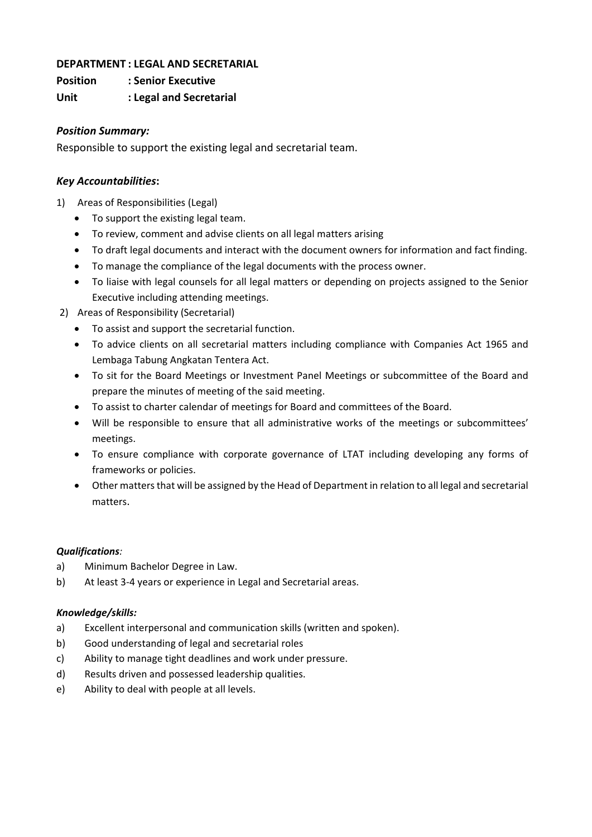### **DEPARTMENT : LEGAL AND SECRETARIAL**

**Position : Senior Executive Unit : Legal and Secretarial**

### *Position Summary:*

Responsible to support the existing legal and secretarial team.

### *Key Accountabilities***:**

- 1) Areas of Responsibilities (Legal)
	- To support the existing legal team.
	- To review, comment and advise clients on all legal matters arising
	- To draft legal documents and interact with the document owners for information and fact finding.
	- To manage the compliance of the legal documents with the process owner.
	- To liaise with legal counsels for all legal matters or depending on projects assigned to the Senior Executive including attending meetings.
- 2) Areas of Responsibility (Secretarial)
	- To assist and support the secretarial function.
	- To advice clients on all secretarial matters including compliance with Companies Act 1965 and Lembaga Tabung Angkatan Tentera Act.
	- To sit for the Board Meetings or Investment Panel Meetings or subcommittee of the Board and prepare the minutes of meeting of the said meeting.
	- To assist to charter calendar of meetings for Board and committees of the Board.
	- Will be responsible to ensure that all administrative works of the meetings or subcommittees' meetings.
	- To ensure compliance with corporate governance of LTAT including developing any forms of frameworks or policies.
	- Other matters that will be assigned by the Head of Department in relation to all legal and secretarial matters.

#### *Qualifications:*

- a) Minimum Bachelor Degree in Law.
- b) At least 3-4 years or experience in Legal and Secretarial areas.

- a) Excellent interpersonal and communication skills (written and spoken).
- b) Good understanding of legal and secretarial roles
- c) Ability to manage tight deadlines and work under pressure.
- d) Results driven and possessed leadership qualities.
- e) Ability to deal with people at all levels.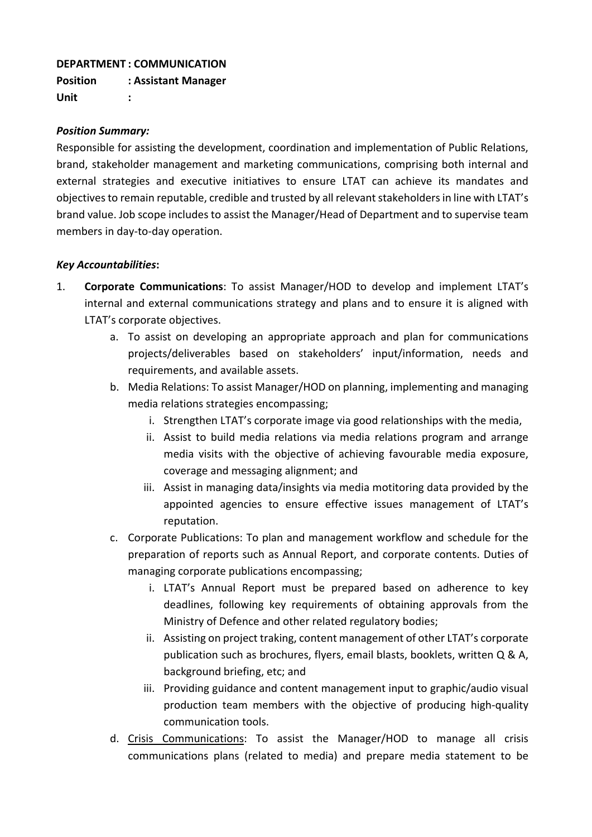# **DEPARTMENT : COMMUNICATION Position : Assistant Manager**

**Unit :** 

# *Position Summary:*

Responsible for assisting the development, coordination and implementation of Public Relations, brand, stakeholder management and marketing communications, comprising both internal and external strategies and executive initiatives to ensure LTAT can achieve its mandates and objectives to remain reputable, credible and trusted by all relevant stakeholders in line with LTAT's brand value. Job scope includes to assist the Manager/Head of Department and to supervise team members in day-to-day operation.

# *Key Accountabilities***:**

- 1. **Corporate Communications**: To assist Manager/HOD to develop and implement LTAT's internal and external communications strategy and plans and to ensure it is aligned with LTAT's corporate objectives.
	- a. To assist on developing an appropriate approach and plan for communications projects/deliverables based on stakeholders' input/information, needs and requirements, and available assets.
	- b. Media Relations: To assist Manager/HOD on planning, implementing and managing media relations strategies encompassing;
		- i. Strengthen LTAT's corporate image via good relationships with the media,
		- ii. Assist to build media relations via media relations program and arrange media visits with the objective of achieving favourable media exposure, coverage and messaging alignment; and
		- iii. Assist in managing data/insights via media motitoring data provided by the appointed agencies to ensure effective issues management of LTAT's reputation.
	- c. Corporate Publications: To plan and management workflow and schedule for the preparation of reports such as Annual Report, and corporate contents. Duties of managing corporate publications encompassing;
		- i. LTAT's Annual Report must be prepared based on adherence to key deadlines, following key requirements of obtaining approvals from the Ministry of Defence and other related regulatory bodies;
		- ii. Assisting on project traking, content management of other LTAT's corporate publication such as brochures, flyers, email blasts, booklets, written Q & A, background briefing, etc; and
		- iii. Providing guidance and content management input to graphic/audio visual production team members with the objective of producing high-quality communication tools.
	- d. Crisis Communications: To assist the Manager/HOD to manage all crisis communications plans (related to media) and prepare media statement to be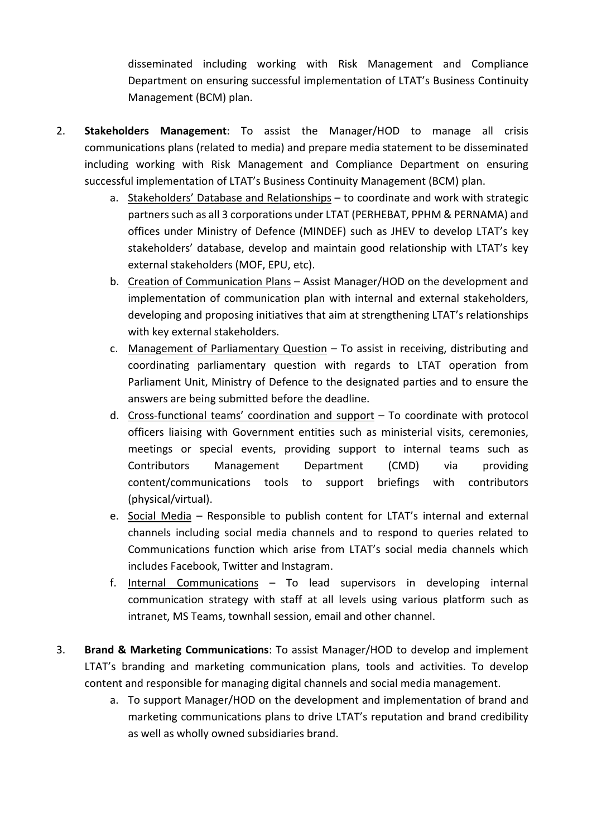disseminated including working with Risk Management and Compliance Department on ensuring successful implementation of LTAT's Business Continuity Management (BCM) plan.

- 2. **Stakeholders Management**: To assist the Manager/HOD to manage all crisis communications plans (related to media) and prepare media statement to be disseminated including working with Risk Management and Compliance Department on ensuring successful implementation of LTAT's Business Continuity Management (BCM) plan.
	- a. Stakeholders' Database and Relationships to coordinate and work with strategic partners such as all 3 corporations under LTAT (PERHEBAT, PPHM & PERNAMA) and offices under Ministry of Defence (MINDEF) such as JHEV to develop LTAT's key stakeholders' database, develop and maintain good relationship with LTAT's key external stakeholders (MOF, EPU, etc).
	- b. Creation of Communication Plans Assist Manager/HOD on the development and implementation of communication plan with internal and external stakeholders, developing and proposing initiatives that aim at strengthening LTAT's relationships with key external stakeholders.
	- c. Management of Parliamentary Question To assist in receiving, distributing and coordinating parliamentary question with regards to LTAT operation from Parliament Unit, Ministry of Defence to the designated parties and to ensure the answers are being submitted before the deadline.
	- d. Cross-functional teams' coordination and support To coordinate with protocol officers liaising with Government entities such as ministerial visits, ceremonies, meetings or special events, providing support to internal teams such as Contributors Management Department (CMD) via providing content/communications tools to support briefings with contributors (physical/virtual).
	- e. Social Media Responsible to publish content for LTAT's internal and external channels including social media channels and to respond to queries related to Communications function which arise from LTAT's social media channels which includes Facebook, Twitter and Instagram.
	- f. Internal Communications To lead supervisors in developing internal communication strategy with staff at all levels using various platform such as intranet, MS Teams, townhall session, email and other channel.
- 3. **Brand & Marketing Communications**: To assist Manager/HOD to develop and implement LTAT's branding and marketing communication plans, tools and activities. To develop content and responsible for managing digital channels and social media management.
	- a. To support Manager/HOD on the development and implementation of brand and marketing communications plans to drive LTAT's reputation and brand credibility as well as wholly owned subsidiaries brand.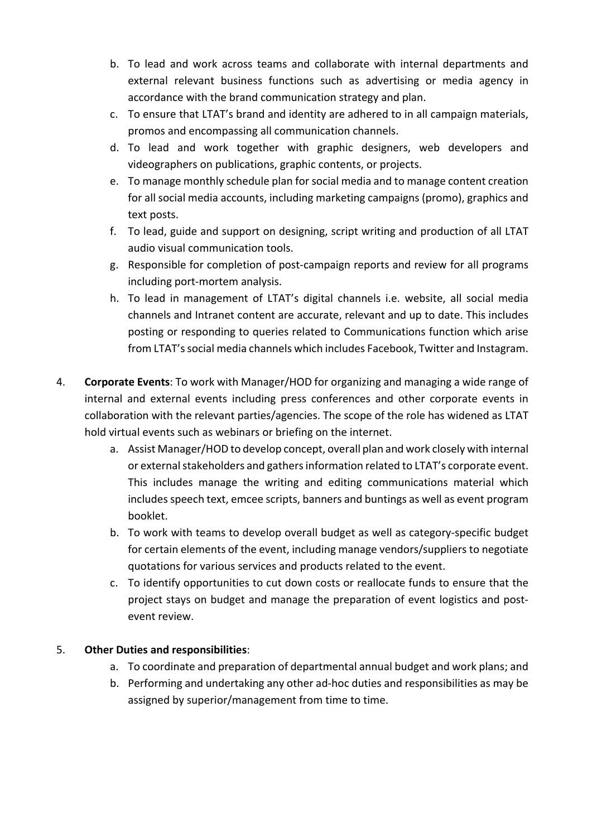- b. To lead and work across teams and collaborate with internal departments and external relevant business functions such as advertising or media agency in accordance with the brand communication strategy and plan.
- c. To ensure that LTAT's brand and identity are adhered to in all campaign materials, promos and encompassing all communication channels.
- d. To lead and work together with graphic designers, web developers and videographers on publications, graphic contents, or projects.
- e. To manage monthly schedule plan for social media and to manage content creation for all social media accounts, including marketing campaigns (promo), graphics and text posts.
- f. To lead, guide and support on designing, script writing and production of all LTAT audio visual communication tools.
- g. Responsible for completion of post-campaign reports and review for all programs including port-mortem analysis.
- h. To lead in management of LTAT's digital channels i.e. website, all social media channels and Intranet content are accurate, relevant and up to date. This includes posting or responding to queries related to Communications function which arise from LTAT's social media channels which includes Facebook, Twitter and Instagram.
- 4. **Corporate Events**: To work with Manager/HOD for organizing and managing a wide range of internal and external events including press conferences and other corporate events in collaboration with the relevant parties/agencies. The scope of the role has widened as LTAT hold virtual events such as webinars or briefing on the internet.
	- a. Assist Manager/HOD to develop concept, overall plan and work closely with internal or external stakeholders and gathers information related to LTAT's corporate event. This includes manage the writing and editing communications material which includes speech text, emcee scripts, banners and buntings as well as event program booklet.
	- b. To work with teams to develop overall budget as well as category-specific budget for certain elements of the event, including manage vendors/suppliers to negotiate quotations for various services and products related to the event.
	- c. To identify opportunities to cut down costs or reallocate funds to ensure that the project stays on budget and manage the preparation of event logistics and postevent review.

# 5. **Other Duties and responsibilities**:

- a. To coordinate and preparation of departmental annual budget and work plans; and
- b. Performing and undertaking any other ad-hoc duties and responsibilities as may be assigned by superior/management from time to time.